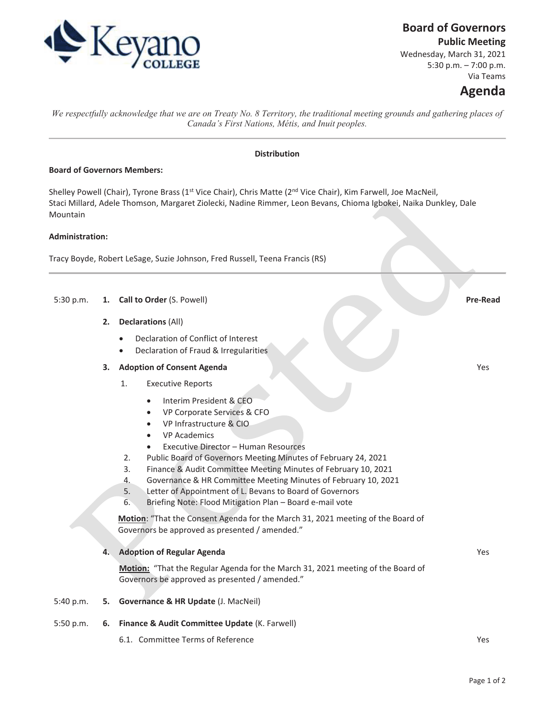

## **Board of Governors**

**Public Meeting** 

Wednesday, March 31, 2021 5:30 p.m. – 7:00 p.m. Via Teams

# **Agenda**

Yes

*We respectfully acknowledge that we are on Treaty No. 8 Territory, the traditional meeting grounds and gathering places of Canada's First Nations, Métis, and Inuit peoples.*

## **Distribution**

## **Board of Governors Members:**

Shelley Powell (Chair), Tyrone Brass (1<sup>st</sup> Vice Chair), Chris Matte (2<sup>nd</sup> Vice Chair), Kim Farwell, Joe MacNeil, Staci Millard, Adele Thomson, Margaret Ziolecki, Nadine Rimmer, Leon Bevans, Chioma Igbokei, Naika Dunkley, Dale Mountain

## **Administration:**

Tracy Boyde, Robert LeSage, Suzie Johnson, Fred Russell, Teena Francis (RS)

- 5:30 p.m. **1. Call to Order** (S. Powell) **Pre-Read**
	- **2. Declarations** (All)
		- Declaration of Conflict of Interest
		- Declaration of Fraud & Irregularities

#### **3. Adoption of Consent Agenda**

- 1. Executive Reports
	- Interim President & CEO
	- x VP Corporate Services & CFO
	- VP Infrastructure & CIO
	- VP Academics
	- Executive Director Human Resources
- 2. Public Board of Governors Meeting Minutes of February 24, 2021
- 3. Finance & Audit Committee Meeting Minutes of February 10, 2021
- 4. Governance & HR Committee Meeting Minutes of February 10, 2021
- 5. Letter of Appointment of L. Bevans to Board of Governors
- 6. Briefing Note: Flood Mitigation Plan Board e-mail vote

**Motion**: "That the Consent Agenda for the March 31, 2021 meeting of the Board of Governors be approved as presented / amended."

#### **4. Adoption of Regular Agenda**

**Motion:** "That the Regular Agenda for the March 31, 2021 meeting of the Board of Governors be approved as presented / amended."

#### 5:40 p.m. **5. Governance & HR Update** (J. MacNeil)

- 5:50 p.m. **6. Finance & Audit Committee Update** (K. Farwell)
	- 6.1. Committee Terms of Reference Terms of Reference Terms and the United States of the Vest Terms of Reference

Yes